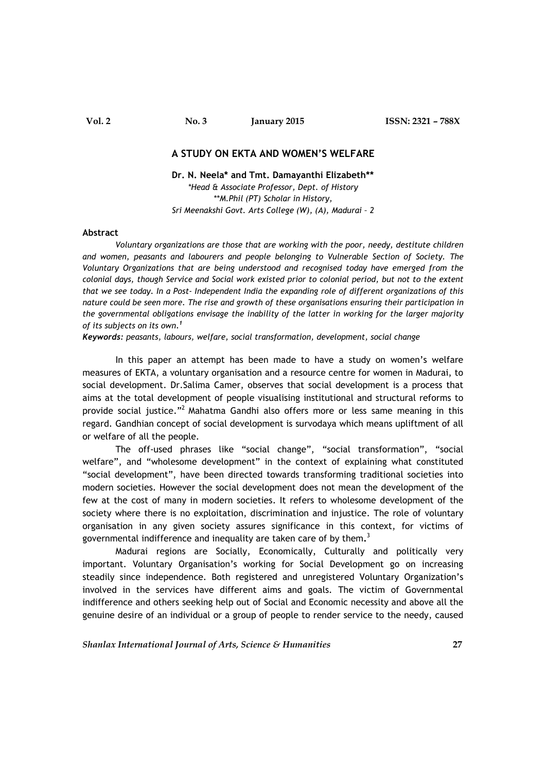# **Vol. 2 No. 3 January 2015 ISSN: 2321 – 788X**

# **A STUDY ON EKTA AND WOMEN'S WELFARE**

#### **Dr. N. Neela\* and Tmt. Damayanthi Elizabeth\*\***

*\*Head & Associate Professor, Dept. of History \*\*M.Phil (PT) Scholar in History, Sri Meenakshi Govt. Arts College (W), (A), Madurai – 2*

#### **Abstract**

*Voluntary organizations are those that are working with the poor, needy, destitute children and women, peasants and labourers and people belonging to Vulnerable Section of Society. The Voluntary Organizations that are being understood and recognised today have emerged from the colonial days, though Service and Social work existed prior to colonial period, but not to the extent that we see today. In a Post- Independent India the expanding role of different organizations of this nature could be seen more. The rise and growth of these organisations ensuring their participation in the governmental obligations envisage the inability of the latter in working for the larger majority of its subjects on its own. 1*

*Keywords: peasants, labours, welfare, social transformation, development, social change*

In this paper an attempt has been made to have a study on women's welfare measures of EKTA, a voluntary organisation and a resource centre for women in Madurai, to social development. Dr.Salima Camer, observes that social development is a process that aims at the total development of people visualising institutional and structural reforms to provide social justice."<sup>2</sup> Mahatma Gandhi also offers more or less same meaning in this regard. Gandhian concept of social development is survodaya which means upliftment of all or welfare of all the people.

The off-used phrases like "social change", "social transformation", "social welfare", and "wholesome development" in the context of explaining what constituted "social development", have been directed towards transforming traditional societies into modern societies. However the social development does not mean the development of the few at the cost of many in modern societies. It refers to wholesome development of the society where there is no exploitation, discrimination and injustice. The role of voluntary organisation in any given society assures significance in this context, for victims of governmental indifference and inequality are taken care of by them**.** 3

Madurai regions are Socially, Economically, Culturally and politically very important. Voluntary Organisation's working for Social Development go on increasing steadily since independence. Both registered and unregistered Voluntary Organization's involved in the services have different aims and goals. The victim of Governmental indifference and others seeking help out of Social and Economic necessity and above all the genuine desire of an individual or a group of people to render service to the needy, caused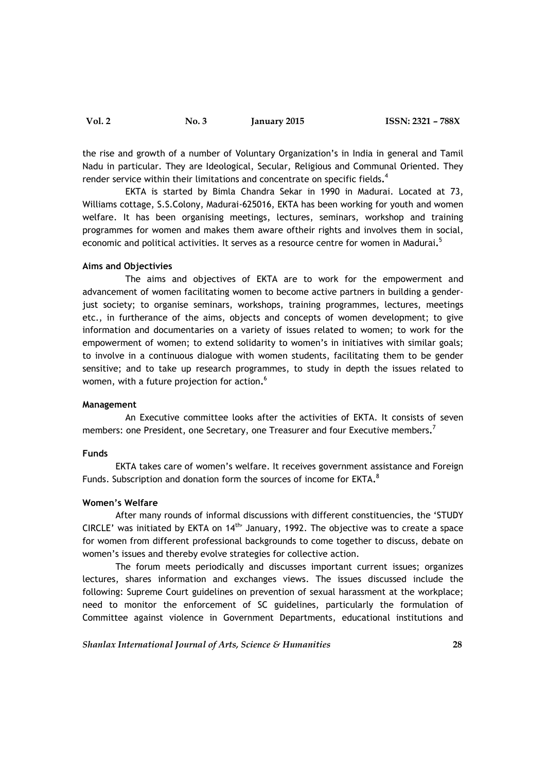**Vol. 2 No. 3 January 2015 ISSN: 2321 – 788X**

the rise and growth of a number of Voluntary Organization's in India in general and Tamil Nadu in particular. They are Ideological, Secular, Religious and Communal Oriented. They render service within their limitations and concentrate on specific fields**.** 4

EKTA is started by Bimla Chandra Sekar in 1990 in Madurai. Located at 73, Williams cottage, S.S.Colony, Madurai-625016, EKTA has been working for youth and women welfare. It has been organising meetings, lectures, seminars, workshop and training programmes for women and makes them aware oftheir rights and involves them in social, economic and political activities. It serves as a resource centre for women in Madurai**.** 5

### **Aims and Objectivies**

The aims and objectives of EKTA are to work for the empowerment and advancement of women facilitating women to become active partners in building a genderjust society; to organise seminars, workshops, training programmes, lectures, meetings etc., in furtherance of the aims, objects and concepts of women development; to give information and documentaries on a variety of issues related to women; to work for the empowerment of women; to extend solidarity to women's in initiatives with similar goals; to involve in a continuous dialogue with women students, facilitating them to be gender sensitive; and to take up research programmes, to study in depth the issues related to women, with a future projection for action**.** 6

#### **Management**

An Executive committee looks after the activities of EKTA. It consists of seven members: one President, one Secretary, one Treasurer and four Executive members**.** 7

#### **Funds**

EKTA takes care of women's welfare. It receives government assistance and Foreign Funds. Subscription and donation form the sources of income for EKTA**.** 8

# **Women's Welfare**

After many rounds of informal discussions with different constituencies, the 'STUDY CIRCLE' was initiated by EKTA on  $14<sup>th</sup>$  January, 1992. The objective was to create a space for women from different professional backgrounds to come together to discuss, debate on women's issues and thereby evolve strategies for collective action.

The forum meets periodically and discusses important current issues; organizes lectures, shares information and exchanges views. The issues discussed include the following: Supreme Court guidelines on prevention of sexual harassment at the workplace; need to monitor the enforcement of SC guidelines, particularly the formulation of Committee against violence in Government Departments, educational institutions and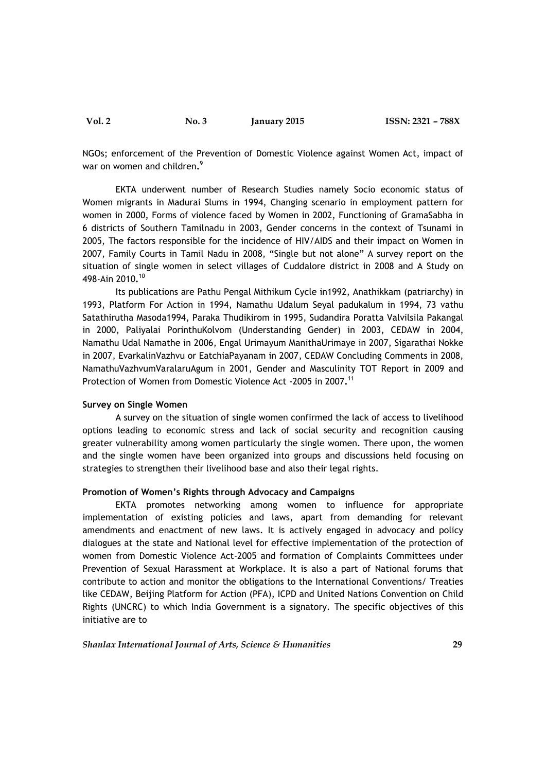NGOs; enforcement of the Prevention of Domestic Violence against Women Act, impact of war on women and children**.** 9

EKTA underwent number of Research Studies namely Socio economic status of Women migrants in Madurai Slums in 1994, Changing scenario in employment pattern for women in 2000, Forms of violence faced by Women in 2002, Functioning of GramaSabha in 6 districts of Southern Tamilnadu in 2003, Gender concerns in the context of Tsunami in 2005, The factors responsible for the incidence of HIV/AIDS and their impact on Women in 2007, Family Courts in Tamil Nadu in 2008, "Single but not alone" A survey report on the situation of single women in select villages of Cuddalore district in 2008 and A Study on 498-Ain 2010**.** 10

Its publications are Pathu Pengal Mithikum Cycle in1992, Anathikkam (patriarchy) in 1993, Platform For Action in 1994, Namathu Udalum Seyal padukalum in 1994, 73 vathu Satathirutha Masoda1994, Paraka Thudikirom in 1995, Sudandira Poratta Valvilsila Pakangal in 2000, Paliyalai PorinthuKolvom (Understanding Gender) in 2003, CEDAW in 2004, Namathu Udal Namathe in 2006, Engal Urimayum ManithaUrimaye in 2007, Sigarathai Nokke in 2007, EvarkalinVazhvu or EatchiaPayanam in 2007, CEDAW Concluding Comments in 2008, NamathuVazhvumVaralaruAgum in 2001, Gender and Masculinity TOT Report in 2009 and Protection of Women from Domestic Violence Act -2005 in 2007**.** 11

#### **Survey on Single Women**

A survey on the situation of single women confirmed the lack of access to livelihood options leading to economic stress and lack of social security and recognition causing greater vulnerability among women particularly the single women. There upon, the women and the single women have been organized into groups and discussions held focusing on strategies to strengthen their livelihood base and also their legal rights.

# **Promotion of Women's Rights through Advocacy and Campaigns**

EKTA promotes networking among women to influence for appropriate implementation of existing policies and laws, apart from demanding for relevant amendments and enactment of new laws. It is actively engaged in advocacy and policy dialogues at the state and National level for effective implementation of the protection of women from Domestic Violence Act-2005 and formation of Complaints Committees under Prevention of Sexual Harassment at Workplace. It is also a part of National forums that contribute to action and monitor the obligations to the International Conventions/ Treaties like CEDAW, Beijing Platform for Action (PFA), ICPD and United Nations Convention on Child Rights (UNCRC) to which India Government is a signatory. The specific objectives of this initiative are to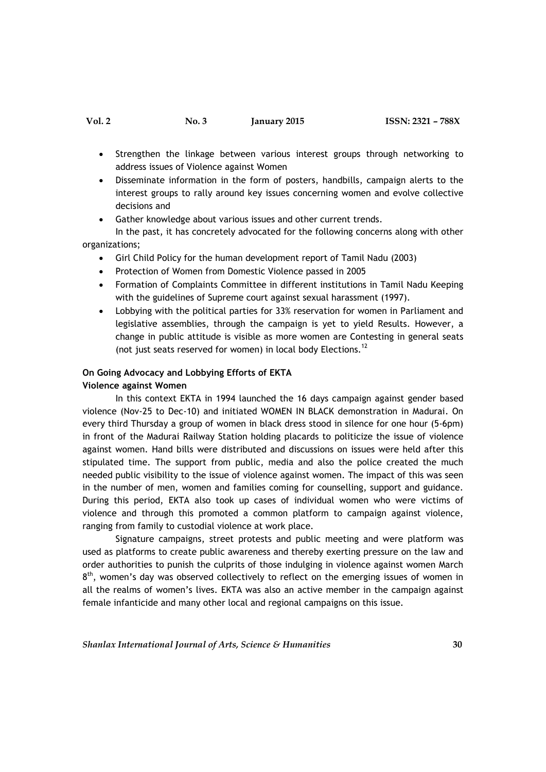- Strengthen the linkage between various interest groups through networking to address issues of Violence against Women
- Disseminate information in the form of posters, handbills, campaign alerts to the interest groups to rally around key issues concerning women and evolve collective decisions and
- Gather knowledge about various issues and other current trends.

In the past, it has concretely advocated for the following concerns along with other organizations;

- Girl Child Policy for the human development report of Tamil Nadu (2003)
- Protection of Women from Domestic Violence passed in 2005
- Formation of Complaints Committee in different institutions in Tamil Nadu Keeping with the guidelines of Supreme court against sexual harassment (1997).
- Lobbying with the political parties for 33% reservation for women in Parliament and legislative assemblies, through the campaign is yet to yield Results. However, a change in public attitude is visible as more women are Contesting in general seats (not just seats reserved for women) in local body Elections.<sup>12</sup>

#### **On Going Advocacy and Lobbying Efforts of EKTA**

## **Violence against Women**

In this context EKTA in 1994 launched the 16 days campaign against gender based violence (Nov-25 to Dec-10) and initiated WOMEN IN BLACK demonstration in Madurai. On every third Thursday a group of women in black dress stood in silence for one hour (5-6pm) in front of the Madurai Railway Station holding placards to politicize the issue of violence against women. Hand bills were distributed and discussions on issues were held after this stipulated time. The support from public, media and also the police created the much needed public visibility to the issue of violence against women. The impact of this was seen in the number of men, women and families coming for counselling, support and guidance. During this period, EKTA also took up cases of individual women who were victims of violence and through this promoted a common platform to campaign against violence, ranging from family to custodial violence at work place.

Signature campaigns, street protests and public meeting and were platform was used as platforms to create public awareness and thereby exerting pressure on the law and order authorities to punish the culprits of those indulging in violence against women March  $8<sup>th</sup>$ , women's day was observed collectively to reflect on the emerging issues of women in all the realms of women's lives. EKTA was also an active member in the campaign against female infanticide and many other local and regional campaigns on this issue.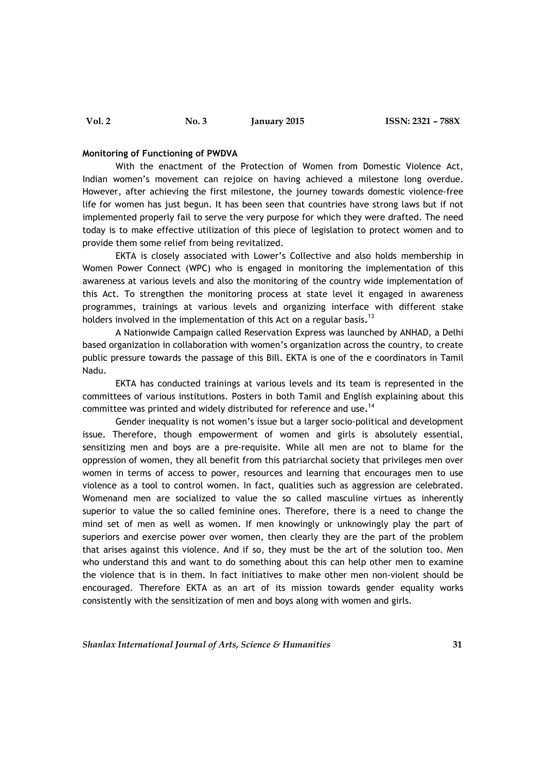# **Monitoring of Functioning of PWDVA**

With the enactment of the Protection of Women from Domestic Violence Act, Indian women's movement can rejoice on having achieved a milestone long overdue. However, after achieving the first milestone, the journey towards domestic violence-free life for women has just begun. It has been seen that countries have strong laws but if not implemented properly fail to serve the very purpose for which they were drafted. The need today is to make effective utilization of this piece of legislation to protect women and to provide them some relief from being revitalized.

EKTA is closely associated with Lower's Collective and also holds membership in Women Power Connect (WPC) who is engaged in monitoring the implementation of this awareness at various levels and also the monitoring of the country wide implementation of this Act. To strengthen the monitoring process at state level it engaged in awareness programmes, trainings at various levels and organizing interface with different stake holders involved in the implementation of this Act on a regular basis**.** 13

A Nationwide Campaign called Reservation Express was launched by ANHAD, a Delhi based organization in collaboration with women's organization across the country, to create public pressure towards the passage of this Bill. EKTA is one of the e coordinators in Tamil Nadu.

EKTA has conducted trainings at various levels and its team is represented in the committees of various institutions. Posters in both Tamil and English explaining about this committee was printed and widely distributed for reference and use**.** 14

Gender inequality is not women's issue but a larger socio-political and development issue. Therefore, though empowerment of women and girls is absolutely essential, sensitizing men and boys are a pre-requisite. While all men are not to blame for the oppression of women, they all benefit from this patriarchal society that privileges men over women in terms of access to power, resources and learning that encourages men to use violence as a tool to control women. In fact, qualities such as aggression are celebrated. Womenand men are socialized to value the so called masculine virtues as inherently superior to value the so called feminine ones. Therefore, there is a need to change the mind set of men as well as women. If men knowingly or unknowingly play the part of superiors and exercise power over women, then clearly they are the part of the problem that arises against this violence. And if so, they must be the art of the solution too. Men who understand this and want to do something about this can help other men to examine the violence that is in them. In fact initiatives to make other men non-violent should be encouraged. Therefore EKTA as an art of its mission towards gender equality works consistently with the sensitization of men and boys along with women and girls.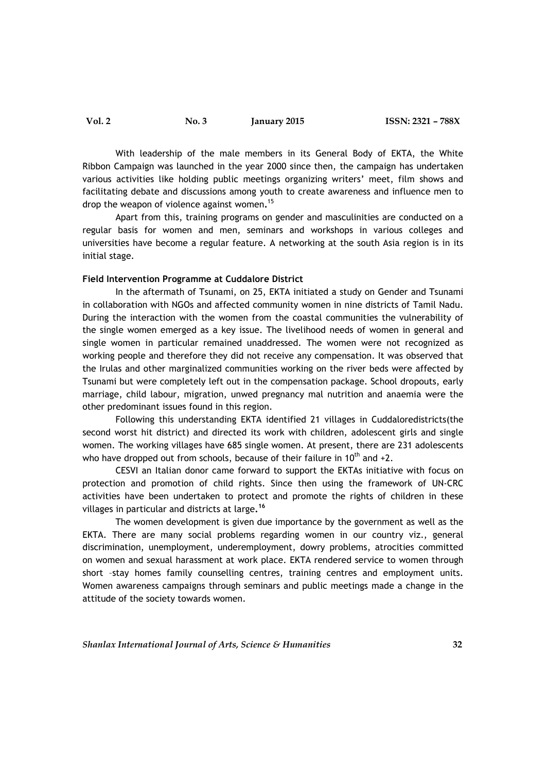With leadership of the male members in its General Body of EKTA, the White Ribbon Campaign was launched in the year 2000 since then, the campaign has undertaken various activities like holding public meetings organizing writers' meet, film shows and facilitating debate and discussions among youth to create awareness and influence men to drop the weapon of violence against women**.** 15

Apart from this, training programs on gender and masculinities are conducted on a regular basis for women and men, seminars and workshops in various colleges and universities have become a regular feature. A networking at the south Asia region is in its initial stage.

### **Field Intervention Programme at Cuddalore District**

In the aftermath of Tsunami, on 25, EKTA initiated a study on Gender and Tsunami in collaboration with NGOs and affected community women in nine districts of Tamil Nadu. During the interaction with the women from the coastal communities the vulnerability of the single women emerged as a key issue. The livelihood needs of women in general and single women in particular remained unaddressed. The women were not recognized as working people and therefore they did not receive any compensation. It was observed that the Irulas and other marginalized communities working on the river beds were affected by Tsunami but were completely left out in the compensation package. School dropouts, early marriage, child labour, migration, unwed pregnancy mal nutrition and anaemia were the other predominant issues found in this region.

Following this understanding EKTA identified 21 villages in Cuddaloredistricts(the second worst hit district) and directed its work with children, adolescent girls and single women. The working villages have 685 single women. At present, there are 231 adolescents who have dropped out from schools, because of their failure in  $10^{th}$  and  $+2$ .

CESVI an Italian donor came forward to support the EKTAs initiative with focus on protection and promotion of child rights. Since then using the framework of UN-CRC activities have been undertaken to protect and promote the rights of children in these villages in particular and districts at large**. 16**

The women development is given due importance by the government as well as the EKTA. There are many social problems regarding women in our country viz., general discrimination, unemployment, underemployment, dowry problems, atrocities committed on women and sexual harassment at work place. EKTA rendered service to women through short –stay homes family counselling centres, training centres and employment units. Women awareness campaigns through seminars and public meetings made a change in the attitude of the society towards women.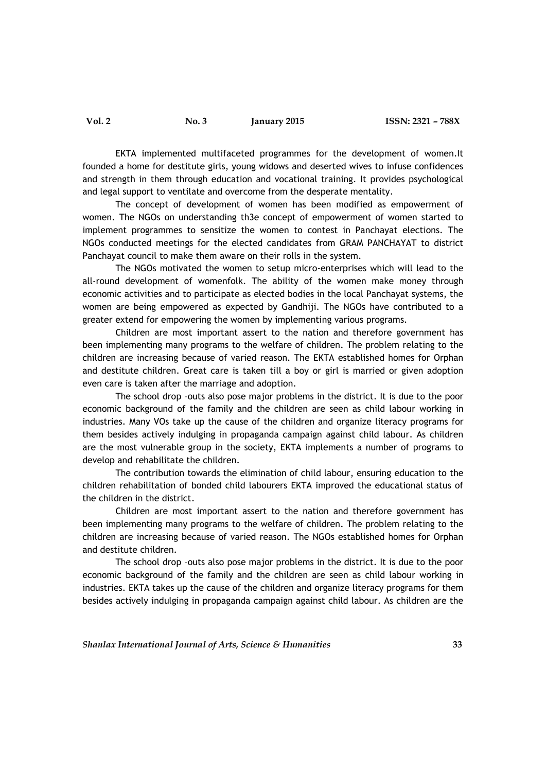EKTA implemented multifaceted programmes for the development of women.It founded a home for destitute girls, young widows and deserted wives to infuse confidences and strength in them through education and vocational training. It provides psychological and legal support to ventilate and overcome from the desperate mentality.

The concept of development of women has been modified as empowerment of women. The NGOs on understanding th3e concept of empowerment of women started to implement programmes to sensitize the women to contest in Panchayat elections. The NGOs conducted meetings for the elected candidates from GRAM PANCHAYAT to district Panchayat council to make them aware on their rolls in the system.

The NGOs motivated the women to setup micro-enterprises which will lead to the all-round development of womenfolk. The ability of the women make money through economic activities and to participate as elected bodies in the local Panchayat systems, the women are being empowered as expected by Gandhiji. The NGOs have contributed to a greater extend for empowering the women by implementing various programs.

Children are most important assert to the nation and therefore government has been implementing many programs to the welfare of children. The problem relating to the children are increasing because of varied reason. The EKTA established homes for Orphan and destitute children. Great care is taken till a boy or girl is married or given adoption even care is taken after the marriage and adoption.

The school drop –outs also pose major problems in the district. It is due to the poor economic background of the family and the children are seen as child labour working in industries. Many VOs take up the cause of the children and organize literacy programs for them besides actively indulging in propaganda campaign against child labour. As children are the most vulnerable group in the society, EKTA implements a number of programs to develop and rehabilitate the children.

The contribution towards the elimination of child labour, ensuring education to the children rehabilitation of bonded child labourers EKTA improved the educational status of the children in the district.

Children are most important assert to the nation and therefore government has been implementing many programs to the welfare of children. The problem relating to the children are increasing because of varied reason. The NGOs established homes for Orphan and destitute children.

The school drop –outs also pose major problems in the district. It is due to the poor economic background of the family and the children are seen as child labour working in industries. EKTA takes up the cause of the children and organize literacy programs for them besides actively indulging in propaganda campaign against child labour. As children are the